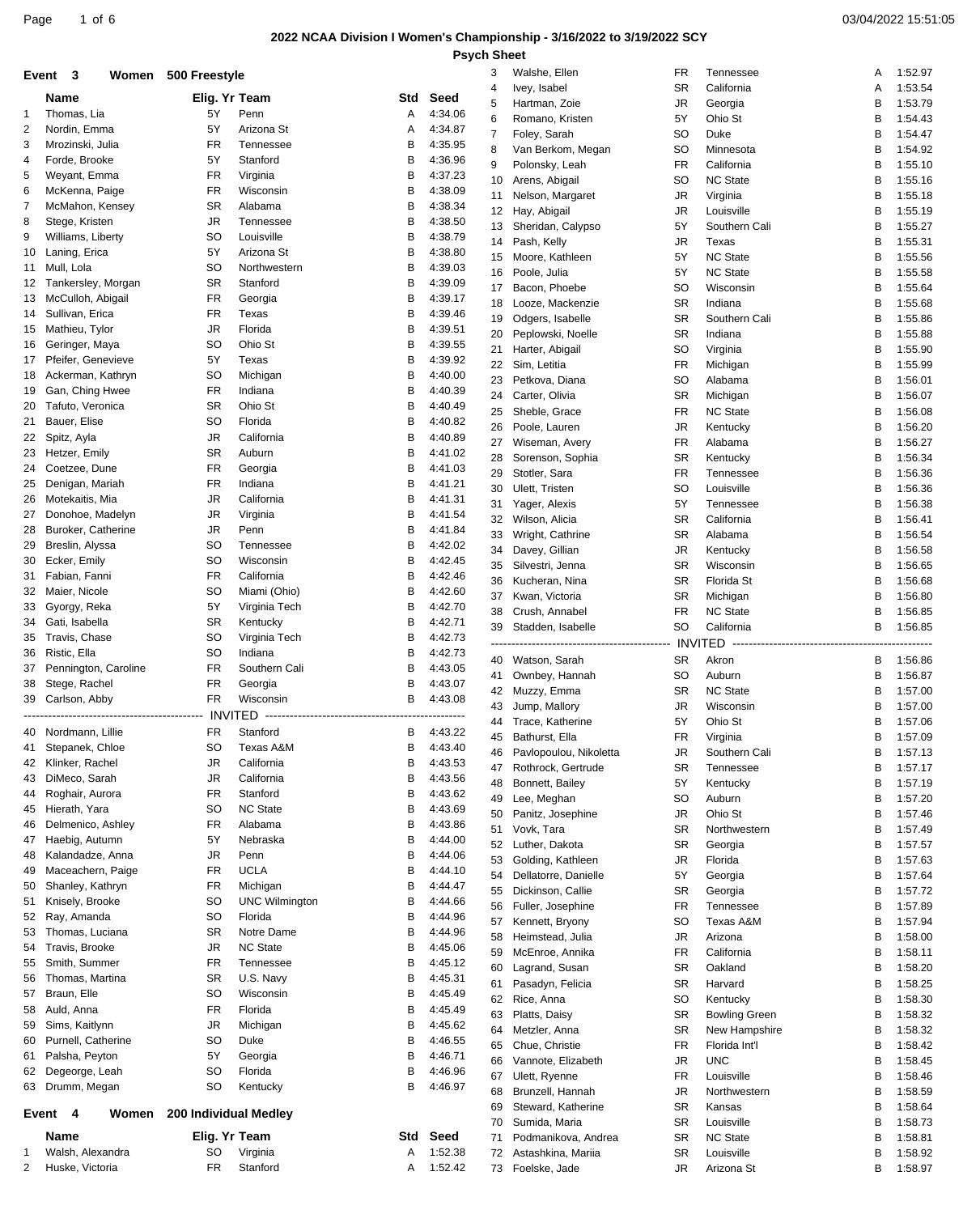# **2022 NCAA Division I Women's Championship - 3/16/2022 to 3/19/2022 SCY**

|          | Event 3                          | Women 500 Freestyle   |                               |                               |                    | 3        | Walshe, Ellen                               | FR                         | Tennessee                 | A      | 1:52.97            |
|----------|----------------------------------|-----------------------|-------------------------------|-------------------------------|--------------------|----------|---------------------------------------------|----------------------------|---------------------------|--------|--------------------|
|          | Name                             |                       | Elig. Yr Team                 | Std                           | Seed               | 4        | Ivey, Isabel                                | <b>SR</b>                  | California                | A      | 1:53.54            |
| 1        | Thomas, Lia                      | 5Y                    | Penn                          | A                             | 4:34.06            | 5        | Hartman, Zoie                               | JR                         | Georgia                   | В      | 1:53.79            |
| 2        | Nordin, Emma                     | 5Y                    | Arizona St                    | Α                             | 4:34.87            | 6<br>7   | Romano, Kristen                             | 5Y<br><b>SO</b>            | Ohio St<br>Duke           | В      | 1:54.43            |
| 3        | Mrozinski, Julia                 | FR                    | Tennessee                     | В                             | 4:35.95            | 8        | Foley, Sarah<br>Van Berkom, Megan           | SO                         | Minnesota                 | В<br>B | 1:54.47<br>1:54.92 |
| 4        | Forde, Brooke                    | 5Y                    | Stanford                      | В                             | 4:36.96            | 9        | Polonsky, Leah                              | FR                         | California                | B      | 1:55.10            |
| 5        | Weyant, Emma                     | FR                    | Virginia                      | В                             | 4:37.23            | 10       | Arens, Abigail                              | <b>SO</b>                  | <b>NC State</b>           | В      | 1:55.16            |
| 6        | McKenna, Paige                   | FR                    | Wisconsin                     | В                             | 4:38.09            | 11       | Nelson, Margaret                            | JR                         | Virginia                  | B      | 1:55.18            |
| 7        | McMahon, Kensey                  | SR                    | Alabama                       | B                             | 4:38.34            | 12       | Hay, Abigail                                | JR                         | Louisville                | B      | 1:55.19            |
| 8        | Stege, Kristen                   | <b>JR</b>             | Tennessee                     | В                             | 4:38.50            | 13       | Sheridan, Calypso                           | 5Y                         | Southern Cali             | В      | 1:55.27            |
| 9        | Williams, Liberty                | SO                    | Louisville                    | В                             | 4:38.79            | 14       | Pash, Kelly                                 | JR                         | Texas                     | B      | 1:55.31            |
| 10       | Laning, Erica                    | 5Y                    | Arizona St<br>Northwestern    | В                             | 4:38.80            | 15       | Moore, Kathleen                             | 5Y                         | <b>NC State</b>           | B      | 1:55.56            |
| 11<br>12 | Mull, Lola<br>Tankersley, Morgan | SO<br><b>SR</b>       | Stanford                      | В<br>В                        | 4:39.03<br>4:39.09 | 16       | Poole, Julia                                | 5Y                         | <b>NC State</b>           | В      | 1:55.58            |
| 13       | McCulloh, Abigail                | <b>FR</b>             | Georgia                       | В                             | 4:39.17            | 17       | Bacon, Phoebe                               | <b>SO</b>                  | Wisconsin                 | B      | 1:55.64            |
| 14       | Sullivan, Erica                  | FR                    | Texas                         | В                             | 4:39.46            | 18       | Looze, Mackenzie                            | <b>SR</b>                  | Indiana                   | B      | 1:55.68            |
| 15       | Mathieu, Tylor                   | JR                    | Florida                       | В                             | 4:39.51            | 19       | Odgers, Isabelle                            | <b>SR</b>                  | Southern Cali             | B      | 1:55.86            |
| 16       | Geringer, Maya                   | <b>SO</b>             | Ohio St                       | В                             | 4:39.55            | 20<br>21 | Peplowski, Noelle<br>Harter, Abigail        | <b>SR</b><br><sub>SO</sub> | Indiana<br>Virginia       | B<br>В | 1:55.88<br>1:55.90 |
| 17       | Pfeifer, Genevieve               | 5Y                    | Texas                         | В                             | 4:39.92            | 22       | Sim, Letitia                                | FR                         | Michigan                  | В      | 1:55.99            |
| 18       | Ackerman, Kathryn                | SO                    | Michigan                      | В                             | 4:40.00            | 23       | Petkova, Diana                              | <sub>SO</sub>              | Alabama                   | В      | 1:56.01            |
| 19       | Gan, Ching Hwee                  | FR.                   | Indiana                       | В                             | 4:40.39            | 24       | Carter, Olivia                              | <b>SR</b>                  | Michigan                  | В      | 1:56.07            |
| 20       | Tafuto, Veronica                 | SR                    | Ohio St                       | B                             | 4:40.49            | 25       | Sheble, Grace                               | FR                         | <b>NC State</b>           | B      | 1:56.08            |
| 21       | Bauer, Elise                     | SO                    | Florida                       | В                             | 4:40.82            | 26       | Poole, Lauren                               | JR                         | Kentucky                  | B      | 1:56.20            |
| 22       | Spitz, Ayla                      | JR                    | California                    | В                             | 4:40.89            | 27       | Wiseman, Avery                              | <b>FR</b>                  | Alabama                   | В      | 1:56.27            |
| 23       | Hetzer, Emily                    | SR                    | Auburn                        | В                             | 4:41.02            | 28       | Sorenson, Sophia                            | <b>SR</b>                  | Kentucky                  | B      | 1:56.34            |
| 24       | Coetzee, Dune                    | FR                    | Georgia                       | В                             | 4:41.03            | 29       | Stotler, Sara                               | FR                         | Tennessee                 | B      | 1:56.36            |
| 25       | Denigan, Mariah                  | FR                    | Indiana                       | В                             | 4:41.21            | 30       | Ulett, Tristen                              | <b>SO</b>                  | Louisville                | В      | 1:56.36            |
| 26       | Motekaitis, Mia                  | JR                    | California                    | В                             | 4:41.31            | 31       | Yager, Alexis                               | 5Y                         | Tennessee                 | B      | 1:56.38            |
| 27       | Donohoe, Madelyn                 | <b>JR</b>             | Virginia                      | В                             | 4:41.54            | 32       | Wilson, Alicia                              | <b>SR</b>                  | California                | B      | 1:56.41            |
| 28       | Buroker, Catherine               | <b>JR</b>             | Penn                          | В                             | 4:41.84            | 33       | Wright, Cathrine                            | <b>SR</b>                  | Alabama                   | В      | 1:56.54            |
| 29       | Breslin, Alyssa                  | SO                    | Tennessee                     | В                             | 4:42.02            | 34       | Davey, Gillian                              | <b>JR</b>                  | Kentucky                  | B      | 1:56.58            |
| 30       | Ecker, Emily                     | SO                    | Wisconsin                     | В                             | 4:42.45            | 35       | Silvestri, Jenna                            | <b>SR</b>                  | Wisconsin                 | В      | 1:56.65            |
| 31       | Fabian, Fanni                    | FR<br>SO              | California                    | В<br>В                        | 4:42.46<br>4:42.60 | 36       | Kucheran, Nina                              | <b>SR</b>                  | Florida St                | В      | 1:56.68            |
| 32<br>33 | Maier, Nicole<br>Gyorgy, Reka    | 5Y                    | Miami (Ohio)<br>Virginia Tech | В                             | 4:42.70            | 37       | Kwan, Victoria                              | <b>SR</b>                  | Michigan                  | B      | 1:56.80            |
| 34       | Gati, Isabella                   | <b>SR</b>             | Kentucky                      | В                             | 4:42.71            | 38       | Crush, Annabel                              | <b>FR</b>                  | <b>NC State</b>           | В      | 1:56.85            |
| 35       | Travis, Chase                    | SO                    | Virginia Tech                 | В                             | 4:42.73            | 39       | Stadden, Isabelle                           | <b>SO</b>                  | California                | B      | 1:56.85            |
| 36       | Ristic, Ella                     | <b>SO</b>             | Indiana                       | В                             | 4:42.73            |          |                                             |                            | <b>ITED</b>               |        |                    |
| 37       | Pennington, Caroline             | FR                    | Southern Cali                 | В                             | 4:43.05            |          | 40 Watson, Sarah                            | <b>SR</b>                  | Akron                     | В      | 1:56.86            |
| 38       | Stege, Rachel                    | FR                    | Georgia                       | В                             | 4:43.07            | 41       | Ownbey, Hannah                              | <sub>SO</sub>              | Auburn                    | В      | 1:56.87            |
| 39       | Carlson, Abby                    | FR                    | Wisconsin                     | В                             | 4:43.08            | 42       | Muzzy, Emma                                 | <b>SR</b>                  | <b>NC State</b>           | В      | 1:57.00            |
|          |                                  | --------------------  | INVITED                       | ----------------------------- |                    | 43       | Jump, Mallory                               | JR                         | Wisconsin                 | В      | 1:57.00            |
|          | 40 Nordmann, Lillie              | FR                    | Stanford                      | В                             | 4:43.22            | 44       | Trace, Katherine                            | 5Y<br><b>FR</b>            | Ohio St                   | B<br>B | 1:57.06            |
|          | 41 Stepanek, Chloe               | SO                    | Texas A&M                     | B                             | 4:43.40            |          | 45 Bathurst, Ella<br>Pavlopoulou, Nikoletta |                            | Virginia<br>Southern Cali | B      | 1:57.09<br>1:57.13 |
| 42       | Klinker, Rachel                  | JR                    | California                    | В                             | 4:43.53            | 46<br>47 | Rothrock, Gertrude                          | JR<br><b>SR</b>            | Tennessee                 | B      | 1:57.17            |
| 43       | DiMeco, Sarah                    | JR                    | California                    | В                             | 4:43.56            | 48       | Bonnett, Bailey                             | 5Y                         | Kentucky                  | В      | 1:57.19            |
| 44       | Roghair, Aurora                  | <b>FR</b>             | Stanford                      | В                             | 4:43.62            | 49       | Lee, Meghan                                 | SO                         | Auburn                    | В      | 1:57.20            |
| 45       | Hierath, Yara                    | SO                    | <b>NC State</b>               | В                             | 4:43.69            | 50       | Panitz, Josephine                           | JR                         | Ohio St                   | В      | 1:57.46            |
| 46       | Delmenico, Ashley                | FR                    | Alabama                       | В                             | 4:43.86            | 51       | Vovk, Tara                                  | SR                         | Northwestern              | B      | 1:57.49            |
| 47       | Haebig, Autumn                   | 5Y                    | Nebraska                      | В                             | 4:44.00            | 52       | Luther, Dakota                              | <b>SR</b>                  | Georgia                   | B      | 1:57.57            |
| 48       | Kalandadze, Anna                 | JR                    | Penn                          | В                             | 4:44.06            | 53       | Golding, Kathleen                           | <b>JR</b>                  | Florida                   | В      | 1:57.63            |
| 49       | Maceachern, Paige                | FR                    | <b>UCLA</b>                   | В                             | 4:44.10            | 54       | Dellatorre, Danielle                        | 5Y                         | Georgia                   | В      | 1:57.64            |
| 50       | Shanley, Kathryn                 | FR                    | Michigan                      | В                             | 4:44.47            | 55       | Dickinson, Callie                           | <b>SR</b>                  | Georgia                   | B      | 1:57.72            |
| 51       | Knisely, Brooke                  | SO                    | <b>UNC Wilmington</b>         | В                             | 4:44.66            | 56       | Fuller, Josephine                           | <b>FR</b>                  | Tennessee                 | В      | 1:57.89            |
| 52       | Ray, Amanda                      | SO                    | Florida                       | В                             | 4:44.96            | 57       | Kennett, Bryony                             | SO                         | Texas A&M                 | B      | 1:57.94            |
| 53       | Thomas, Luciana                  | SR                    | Notre Dame                    | В                             | 4:44.96            | 58       | Heimstead, Julia                            | <b>JR</b>                  | Arizona                   | B      | 1:58.00            |
| 54       | Travis, Brooke                   | <b>JR</b>             | <b>NC State</b>               | В                             | 4:45.06            | 59       | McEnroe, Annika                             | <b>FR</b>                  | California                | В      | 1:58.11            |
| 55       | Smith, Summer                    | FR                    | Tennessee                     | В                             | 4:45.12            | 60       | Lagrand, Susan                              | SR                         | Oakland                   | B      | 1:58.20            |
| 56       | Thomas, Martina<br>Braun, Elle   | SR<br>SO              | U.S. Navy<br>Wisconsin        | В<br>В                        | 4:45.31<br>4:45.49 | 61       | Pasadyn, Felicia                            | <b>SR</b>                  | Harvard                   | B      | 1:58.25            |
| 57       | Auld, Anna                       | FR                    | Florida                       | В                             | 4:45.49            | 62       | Rice, Anna                                  | <b>SO</b>                  | Kentucky                  | В      | 1:58.30            |
| 58<br>59 | Sims, Kaitlynn                   | JR                    | Michigan                      | В                             | 4:45.62            | 63       | Platts, Daisy                               | <b>SR</b>                  | <b>Bowling Green</b>      | B      | 1:58.32            |
| 60       | Purnell, Catherine               | SO                    | Duke                          | В                             | 4:46.55            | 64       | Metzler, Anna                               | <b>SR</b>                  | New Hampshire             | B      | 1:58.32            |
| 61       | Palsha, Peyton                   | 5Y                    | Georgia                       | В                             | 4:46.71            | 65       | Chue, Christie                              | <b>FR</b>                  | Florida Int'l             | В      | 1:58.42            |
| 62       | Degeorge, Leah                   | SO                    | Florida                       | В                             | 4:46.96            | 66       | Vannote, Elizabeth                          | JR                         | <b>UNC</b>                | В      | 1:58.45            |
| 63       | Drumm, Megan                     | SO                    | Kentucky                      | B                             | 4:46.97            | 67       | Ulett, Ryenne                               | <b>FR</b>                  | Louisville                | B      | 1:58.46            |
|          |                                  |                       |                               |                               |                    | 68       | Brunzell, Hannah                            | JR<br><b>SR</b>            | Northwestern              | В<br>В | 1:58.59            |
|          | Event<br>4<br>Women              | 200 Individual Medley |                               |                               |                    | 69<br>70 | Steward, Katherine<br>Sumida, Maria         | <b>SR</b>                  | Kansas<br>Louisville      | B      | 1:58.64<br>1:58.73 |
|          | Name                             |                       | Elig. Yr Team                 | Std                           | Seed               | 71       | Podmanikova, Andrea                         | <b>SR</b>                  | <b>NC State</b>           | В      | 1:58.81            |
| 1        | Walsh, Alexandra                 | SO                    | Virginia                      | Α                             | 1:52.38            | 72       | Astashkina, Mariia                          | <b>SR</b>                  | Louisville                | B      | 1:58.92            |
| 2        | Huske, Victoria                  | FR                    | Stanford                      | Α                             | 1:52.42            | 73       | Foelske, Jade                               | JR                         | Arizona St                | B      | 1:58.97            |
|          |                                  |                       |                               |                               |                    |          |                                             |                            |                           |        |                    |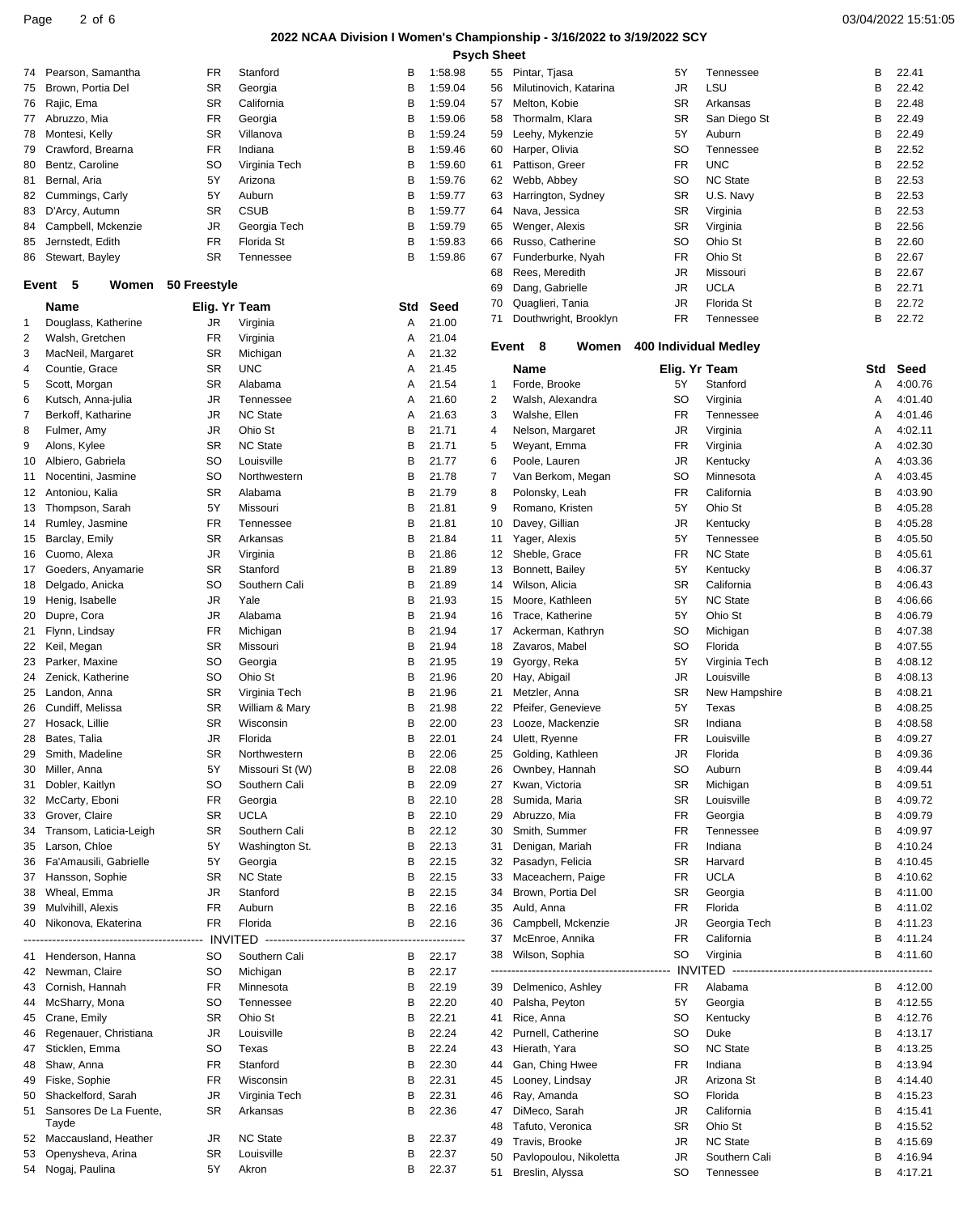## **2022 NCAA Division I Women's Championship - 3/16/2022 to 3/19/2022 SCY**

| Page<br>? of b | 03/04/2022 15:51:05 |
|----------------|---------------------|
|----------------|---------------------|

|    |                                     |                    |                 |                                      |         | <b>Psych Sheet</b> |                  |                        |                       |                  |                                 |         |
|----|-------------------------------------|--------------------|-----------------|--------------------------------------|---------|--------------------|------------------|------------------------|-----------------------|------------------|---------------------------------|---------|
| 74 | Pearson, Samantha                   | FR                 | Stanford        | В                                    | 1:58.98 |                    | 55 Pintar, Tjasa |                        | 5Y                    | Tennessee        | В                               | 22.41   |
|    | Brown, Portia Del                   | <b>SR</b>          |                 | в                                    | 1:59.04 | 56                 |                  | Milutinovich, Katarina | JR                    | LSU              | В                               | 22.42   |
| 75 |                                     |                    | Georgia         |                                      |         |                    |                  |                        |                       |                  |                                 |         |
| 76 | Rajic, Ema                          | <b>SR</b>          | California      | В                                    | 1:59.04 | 57                 |                  | Melton, Kobie          | <b>SR</b>             | Arkansas         | В                               | 22.48   |
| 77 | Abruzzo, Mia                        | <b>FR</b>          | Georgia         | В                                    | 1:59.06 | 58                 |                  | Thormalm, Klara        | <b>SR</b>             | San Diego St     | В                               | 22.49   |
| 78 | Montesi, Kelly                      | <b>SR</b>          | Villanova       | в                                    | 1:59.24 | 59                 |                  | Leehy, Mykenzie        | 5Y                    | Auburn           | В                               | 22.49   |
| 79 | Crawford, Brearna                   | FR                 | Indiana         | В                                    | 1:59.46 | 60                 |                  | Harper, Olivia         | <b>SO</b>             | Tennessee        | В                               | 22.52   |
| 80 | Bentz, Caroline                     | <b>SO</b>          | Virginia Tech   | В                                    | 1:59.60 | 61                 |                  | Pattison, Greer        | <b>FR</b>             | <b>UNC</b>       | В                               | 22.52   |
| 81 | Bernal, Aria                        | 5Υ                 | Arizona         | в                                    | 1:59.76 | 62                 |                  | Webb, Abbey            | <b>SO</b>             | <b>NC State</b>  | В                               | 22.53   |
|    |                                     |                    |                 |                                      |         |                    |                  |                        |                       |                  |                                 |         |
| 82 | Cummings, Carly                     | 5Y                 | Auburn          | В                                    | 1:59.77 | 63                 |                  | Harrington, Sydney     | <b>SR</b>             | U.S. Navy        | В                               | 22.53   |
| 83 | D'Arcy, Autumn                      | <b>SR</b>          | <b>CSUB</b>     | В                                    | 1:59.77 | 64                 |                  | Nava, Jessica          | <b>SR</b>             | Virginia         | В                               | 22.53   |
| 84 | Campbell, Mckenzie                  | <b>JR</b>          | Georgia Tech    | В                                    | 1:59.79 | 65                 |                  | Wenger, Alexis         | <b>SR</b>             | Virginia         | В                               | 22.56   |
| 85 | Jernstedt, Edith                    | <b>FR</b>          | Florida St      | в                                    | 1:59.83 | 66                 |                  | Russo, Catherine       | <b>SO</b>             | Ohio St          | В                               | 22.60   |
| 86 | Stewart, Bayley                     | <b>SR</b>          | Tennessee       | В                                    | 1:59.86 | 67                 |                  | Funderburke, Nyah      | <b>FR</b>             | Ohio St          | В                               | 22.67   |
|    |                                     |                    |                 |                                      |         | 68                 |                  | Rees, Meredith         | JR                    | Missouri         | В                               | 22.67   |
|    | Event 5                             | Women 50 Freestyle |                 |                                      |         | 69                 |                  | Dang, Gabrielle        | JR                    | <b>UCLA</b>      | В                               | 22.71   |
|    |                                     |                    |                 |                                      |         |                    |                  |                        |                       |                  |                                 |         |
|    | Name                                | Elig. Yr Team      |                 | Std                                  | Seed    | 70                 |                  | Quaglieri, Tania       | JR                    | Florida St       | В                               | 22.72   |
| 1  | Douglass, Katherine                 | JR                 | Virginia        | Α                                    | 21.00   | 71                 |                  | Douthwright, Brooklyn  | FR                    | Tennessee        | B                               | 22.72   |
| 2  | Walsh, Gretchen                     | FR                 | Virginia        | Α                                    | 21.04   |                    |                  |                        |                       |                  |                                 |         |
| 3  | MacNeil, Margaret                   | <b>SR</b>          | Michigan        | Α                                    | 21.32   |                    | Event 8          | Women                  | 400 Individual Medley |                  |                                 |         |
|    |                                     |                    |                 |                                      |         |                    |                  |                        |                       |                  |                                 | Seed    |
| 4  | Countie, Grace                      | <b>SR</b>          | <b>UNC</b>      | Α                                    | 21.45   |                    | <b>Name</b>      |                        | Elig. Yr Team         |                  | Std                             |         |
| 5  | Scott, Morgan                       | <b>SR</b>          | Alabama         | Α                                    | 21.54   | $\mathbf{1}$       |                  | Forde, Brooke          | 5Y                    | Stanford         | Α                               | 4:00.76 |
| 6  | Kutsch, Anna-julia                  | JR                 | Tennessee       | Α                                    | 21.60   | 2                  |                  | Walsh, Alexandra       | <b>SO</b>             | Virginia         | Α                               | 4:01.40 |
| 7  | Berkoff, Katharine                  | <b>JR</b>          | <b>NC State</b> | A                                    | 21.63   | 3                  |                  | Walshe, Ellen          | FR                    | <b>Tennessee</b> | Α                               | 4:01.46 |
| 8  | Fulmer, Amy                         | JR                 | Ohio St         | В                                    | 21.71   | 4                  |                  | Nelson, Margaret       | <b>JR</b>             | Virginia         | Α                               | 4:02.11 |
| 9  | Alons, Kylee                        | <b>SR</b>          | <b>NC State</b> | в                                    | 21.71   | 5                  |                  | Weyant, Emma           | FR                    | Virginia         | Α                               | 4:02.30 |
|    |                                     |                    |                 |                                      |         |                    |                  |                        |                       |                  |                                 |         |
| 10 | Albiero, Gabriela                   | <b>SO</b>          | Louisville      | в                                    | 21.77   | 6                  |                  | Poole, Lauren          | JR                    | Kentucky         | Α                               | 4:03.36 |
| 11 | Nocentini, Jasmine                  | <b>SO</b>          | Northwestern    | В                                    | 21.78   | 7                  |                  | Van Berkom, Megan      | <b>SO</b>             | Minnesota        | Α                               | 4:03.45 |
| 12 | Antoniou, Kalia                     | <b>SR</b>          | Alabama         | в                                    | 21.79   | 8                  |                  | Polonsky, Leah         | FR                    | California       | В                               | 4:03.90 |
| 13 | Thompson, Sarah                     | 5Y                 | Missouri        | в                                    | 21.81   | 9                  |                  | Romano, Kristen        | 5Y                    | Ohio St          | в                               | 4:05.28 |
| 14 | Rumley, Jasmine                     | <b>FR</b>          | Tennessee       | В                                    | 21.81   | 10                 |                  | Davey, Gillian         | JR                    | Kentucky         | В                               | 4:05.28 |
|    |                                     | <b>SR</b>          |                 |                                      |         |                    |                  |                        | 5Y                    |                  | В                               | 4:05.50 |
| 15 | Barclay, Emily                      |                    | Arkansas        | в                                    | 21.84   | 11                 |                  | Yager, Alexis          |                       | Tennessee        |                                 |         |
| 16 | Cuomo, Alexa                        | <b>JR</b>          | Virginia        | в                                    | 21.86   | 12                 |                  | Sheble, Grace          | FR                    | <b>NC State</b>  | В                               | 4:05.61 |
| 17 | Goeders, Anyamarie                  | <b>SR</b>          | Stanford        | В                                    | 21.89   | 13                 |                  | Bonnett, Bailey        | 5Y                    | Kentucky         | В                               | 4:06.37 |
| 18 | Delgado, Anicka                     | SO                 | Southern Cali   | в                                    | 21.89   | 14                 |                  | Wilson, Alicia         | <b>SR</b>             | California       | В                               | 4:06.43 |
| 19 | Henig, Isabelle                     | JR                 | Yale            | В                                    | 21.93   | 15                 |                  | Moore, Kathleen        | 5Y                    | <b>NC State</b>  | в                               | 4:06.66 |
| 20 | Dupre, Cora                         | JR                 | Alabama         | в                                    | 21.94   | 16                 |                  | Trace, Katherine       | 5Y                    | Ohio St          | В                               | 4:06.79 |
|    |                                     |                    |                 |                                      |         |                    |                  |                        |                       |                  |                                 |         |
| 21 | Flynn, Lindsay                      | FR                 | Michigan        | в                                    | 21.94   | 17                 |                  | Ackerman, Kathryn      | <b>SO</b>             | Michigan         | В                               | 4:07.38 |
| 22 | Keil, Megan                         | <b>SR</b>          | Missouri        | В                                    | 21.94   | 18                 |                  | Zavaros, Mabel         | <b>SO</b>             | Florida          | в                               | 4:07.55 |
| 23 | Parker, Maxine                      | <b>SO</b>          | Georgia         | в                                    | 21.95   | 19                 |                  | Gyorgy, Reka           | 5Y                    | Virginia Tech    | В                               | 4:08.12 |
| 24 | Zenick, Katherine                   | <b>SO</b>          | Ohio St         | в                                    | 21.96   | 20                 | Hay, Abigail     |                        | JR                    | Louisville       | В                               | 4:08.13 |
| 25 | Landon, Anna                        | <b>SR</b>          | Virginia Tech   | в                                    | 21.96   | 21                 |                  | Metzler, Anna          | <b>SR</b>             | New Hampshire    | В                               | 4:08.21 |
| 26 | Cundiff, Melissa                    | <b>SR</b>          | William & Mary  | в                                    | 21.98   | 22                 |                  | Pfeifer, Genevieve     | 5Y                    | Texas            | В                               | 4:08.25 |
|    |                                     |                    |                 |                                      |         |                    |                  |                        |                       |                  |                                 |         |
|    | 27 Hosack, Lillie                   | <b>SR</b>          | Wisconsin       | B                                    | 22.00   | 23                 |                  | Looze, Mackenzie       | <b>SR</b>             | Indiana          | B                               | 4:08.58 |
| 28 | Bates, Talia                        | JR                 | Florida         | в                                    | 22.01   | 24                 |                  | Ulett, Ryenne          | <b>FR</b>             | Louisville       | в                               | 4:09.27 |
| 29 | Smith, Madeline                     | <b>SR</b>          | Northwestern    | B                                    | 22.06   | 25                 |                  | Golding, Kathleen      | JR                    | Florida          | В                               | 4:09.36 |
| 30 | Miller, Anna                        | 5Y                 | Missouri St (W) | в                                    | 22.08   | 26                 |                  | Ownbey, Hannah         | <b>SO</b>             | Auburn           | В                               | 4:09.44 |
| 31 | Dobler, Kaitlyn                     | <b>SO</b>          | Southern Cali   | в                                    | 22.09   | 27                 |                  | Kwan, Victoria         | <b>SR</b>             | Michigan         | В                               | 4:09.51 |
| 32 | McCarty, Eboni                      | FR                 | Georgia         | в                                    | 22.10   | 28                 |                  | Sumida, Maria          | <b>SR</b>             | Louisville       | В                               | 4:09.72 |
|    |                                     |                    |                 |                                      |         |                    |                  |                        |                       |                  |                                 |         |
| 33 | Grover, Claire                      | <b>SR</b>          | UCLA            | в                                    | 22.10   | 29                 |                  | Abruzzo, Mia           | FR                    | Georgia          | В                               | 4:09.79 |
| 34 | Transom, Laticia-Leigh              | <b>SR</b>          | Southern Cali   | в                                    | 22.12   | 30                 |                  | Smith, Summer          | <b>FR</b>             | Tennessee        | В                               | 4:09.97 |
| 35 | Larson, Chloe                       | 5Y                 | Washington St.  | в                                    | 22.13   | 31                 |                  | Denigan, Mariah        | FR                    | Indiana          | В                               | 4:10.24 |
| 36 | Fa'Amausili, Gabrielle              | 5Y                 | Georgia         | в                                    | 22.15   | 32                 |                  | Pasadyn, Felicia       | <b>SR</b>             | Harvard          | В                               | 4:10.45 |
| 37 | Hansson, Sophie                     | <b>SR</b>          | <b>NC State</b> | в                                    | 22.15   | 33                 |                  | Maceachern, Paige      | <b>FR</b>             | <b>UCLA</b>      | в                               | 4:10.62 |
| 38 | Wheal, Emma                         | JR                 | Stanford        | в                                    | 22.15   | 34                 |                  | Brown, Portia Del      | <b>SR</b>             | Georgia          | В                               | 4:11.00 |
|    |                                     |                    |                 | В                                    |         |                    |                  |                        |                       |                  | В                               | 4:11.02 |
| 39 | Mulvihill, Alexis                   | FR                 | Auburn          |                                      | 22.16   | 35                 | Auld, Anna       |                        | FR                    | Florida          |                                 |         |
| 40 | Nikonova, Ekaterina                 | <b>FR</b>          | Florida         | В                                    | 22.16   | 36                 |                  | Campbell, Mckenzie     | JR                    | Georgia Tech     | В                               | 4:11.23 |
|    | ----------------------------------- | <b>INVITED</b>     |                 | ------------------------------------ |         | 37                 |                  | McEnroe, Annika        | FR                    | California       | В                               | 4:11.24 |
| 41 | Henderson, Hanna                    | <b>SO</b>          | Southern Cali   | в                                    | 22.17   | 38                 |                  | Wilson, Sophia         | <b>SO</b>             | Virginia         | В                               | 4:11.60 |
| 42 | Newman, Claire                      | <b>SO</b>          | Michigan        | В                                    | 22.17   | ---                |                  |                        | -----------------     | INVITED          | ------------------------------- |         |
|    | Cornish, Hannah                     | <b>FR</b>          | Minnesota       | В                                    | 22.19   |                    |                  | Delmenico, Ashley      | <b>FR</b>             | Alabama          |                                 | 4:12.00 |
| 43 |                                     |                    |                 |                                      |         | 39                 |                  |                        |                       |                  | В                               |         |
| 44 | McSharry, Mona                      | <b>SO</b>          | Tennessee       | в                                    | 22.20   | 40                 |                  | Palsha, Peyton         | 5Υ                    | Georgia          | В                               | 4:12.55 |
| 45 | Crane, Emily                        | <b>SR</b>          | Ohio St         | в                                    | 22.21   | 41                 | Rice, Anna       |                        | <b>SO</b>             | Kentucky         | В                               | 4:12.76 |
| 46 | Regenauer, Christiana               | JR                 | Louisville      | в                                    | 22.24   | 42                 |                  | Purnell, Catherine     | <b>SO</b>             | Duke             | В                               | 4:13.17 |
| 47 | Sticklen, Emma                      | <b>SO</b>          | Texas           | в                                    | 22.24   | 43                 |                  | Hierath, Yara          | <b>SO</b>             | <b>NC State</b>  | В                               | 4:13.25 |
| 48 | Shaw, Anna                          | FR                 | Stanford        | в                                    | 22.30   | 44                 |                  | Gan, Ching Hwee        | FR                    | Indiana          | В                               | 4:13.94 |
|    | Fiske, Sophie                       | <b>FR</b>          | Wisconsin       | в                                    | 22.31   |                    |                  |                        | <b>JR</b>             | Arizona St       | в                               | 4:14.40 |
| 49 |                                     |                    |                 |                                      |         | 45                 |                  | Looney, Lindsay        |                       |                  |                                 |         |
| 50 | Shackelford, Sarah                  | JR                 | Virginia Tech   | в                                    | 22.31   | 46                 |                  | Ray, Amanda            | <b>SO</b>             | Florida          | В                               | 4:15.23 |
| 51 | Sansores De La Fuente,              | <b>SR</b>          | Arkansas        | В                                    | 22.36   | 47                 |                  | DiMeco, Sarah          | JR                    | California       | В                               | 4:15.41 |
|    | Tayde                               |                    |                 |                                      |         | 48                 |                  | Tafuto, Veronica       | <b>SR</b>             | Ohio St          | В                               | 4:15.52 |
| 52 | Maccausland, Heather                | JR                 | <b>NC State</b> | в                                    | 22.37   | 49                 |                  | Travis, Brooke         | JR                    | <b>NC State</b>  | В                               | 4:15.69 |
| 53 | Openysheva, Arina                   | <b>SR</b>          | Louisville      | в                                    | 22.37   | 50                 |                  | Pavlopoulou, Nikoletta | JR                    | Southern Cali    | В                               | 4:16.94 |
|    | 54 Nogaj, Paulina                   | 5Υ                 | Akron           | В                                    | 22.37   | 51                 |                  | Breslin, Alyssa        | <b>SO</b>             | Tennessee        | В                               | 4:17.21 |
|    |                                     |                    |                 |                                      |         |                    |                  |                        |                       |                  |                                 |         |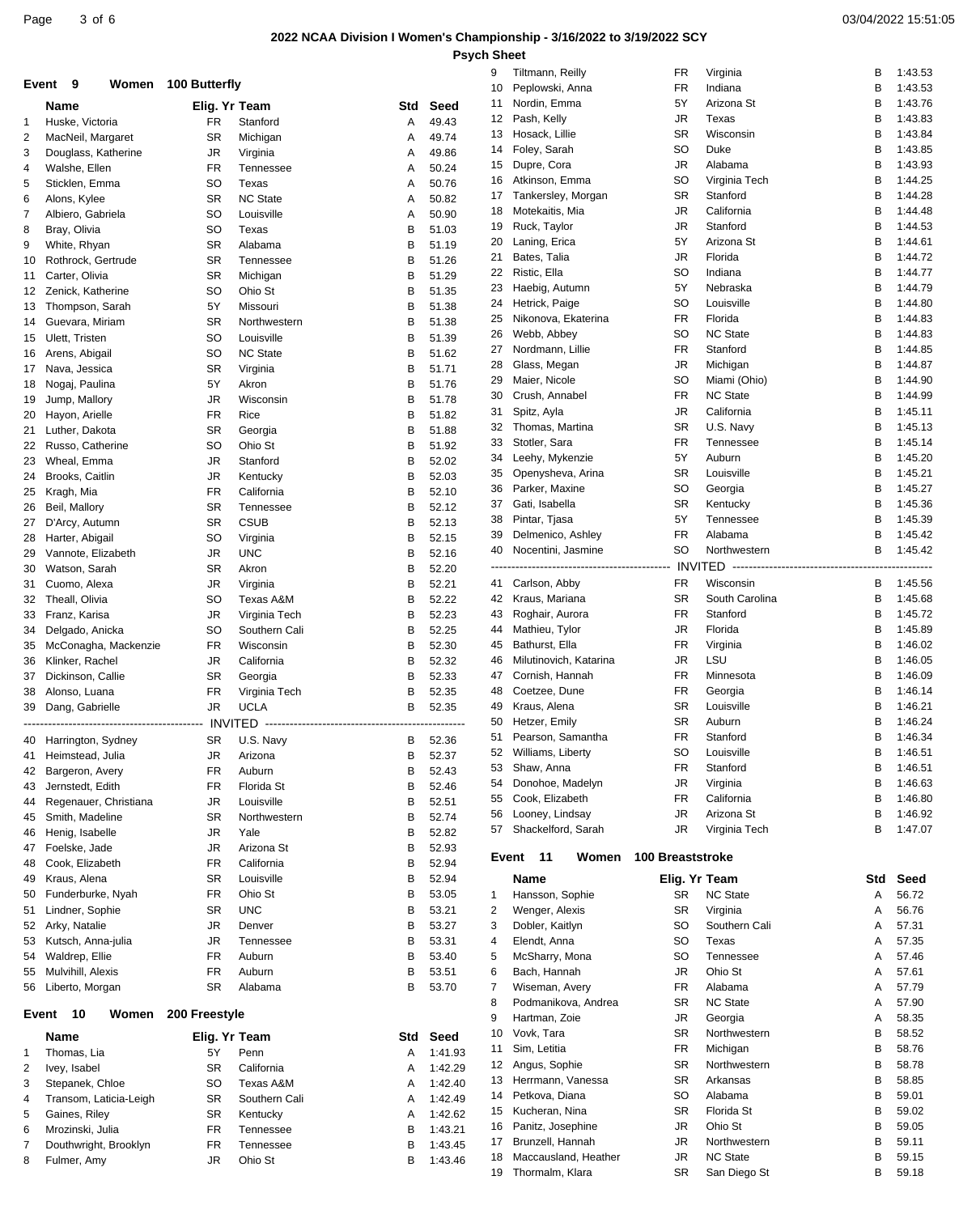### **2022 NCAA Division I Women's Championship - 3/16/2022 to 3/19/2022 SCY Psych Sheet**

|    |                        |                     |                 |                                     |         | 9     | Tiltmann, Reilly                           | FR                      | Virginia                        | в      | 1:43.53        |
|----|------------------------|---------------------|-----------------|-------------------------------------|---------|-------|--------------------------------------------|-------------------------|---------------------------------|--------|----------------|
|    | Event 9                | Women 100 Butterfly |                 |                                     |         | 10    | Peplowski, Anna                            | <b>FR</b>               | Indiana                         | B      | 1:43.53        |
|    | Name                   | Elig. Yr Team       |                 | Std                                 | Seed    | 11    | Nordin, Emma                               | 5Y                      | Arizona St                      | в      | 1:43.76        |
| 1  | Huske, Victoria        | <b>FR</b>           | Stanford        | Α                                   | 49.43   | 12    | Pash, Kelly                                | JR                      | Texas                           | в      | 1:43.83        |
| 2  | MacNeil, Margaret      | <b>SR</b>           | Michigan        | Α                                   | 49.74   | 13    | Hosack, Lillie                             | <b>SR</b>               | Wisconsin                       | В      | 1:43.84        |
|    |                        | JR                  | Virginia        |                                     |         | 14    | Foley, Sarah                               | <b>SO</b>               | Duke                            | В      | 1:43.85        |
| 3  | Douglass, Katherine    |                     |                 | A                                   | 49.86   | 15    | Dupre, Cora                                | JR                      | Alabama                         | В      | 1:43.93        |
| 4  | Walshe, Ellen          | FR                  | Tennessee       | A                                   | 50.24   | 16    | Atkinson, Emma                             | <b>SO</b>               | Virginia Tech                   | В      | 1:44.25        |
| 5  | Sticklen, Emma         | SO                  | Texas           | Α                                   | 50.76   | 17    | Tankersley, Morgan                         | <b>SR</b>               | Stanford                        | В      | 1:44.28        |
| 6  | Alons, Kylee           | <b>SR</b>           | <b>NC State</b> | A                                   | 50.82   |       |                                            |                         |                                 |        |                |
| 7  | Albiero, Gabriela      | <b>SO</b>           | Louisville      | A                                   | 50.90   | 18    | Motekaitis, Mia                            | JR                      | California                      | В      | 1:44.48        |
| 8  | Bray, Olivia           | <b>SO</b>           | Texas           | B                                   | 51.03   | 19    | Ruck, Taylor                               | JR                      | Stanford                        | В      | 1:44.53        |
| 9  | White, Rhyan           | <b>SR</b>           | Alabama         | в                                   | 51.19   | 20    | Laning, Erica                              | 5Y                      | Arizona St                      | В      | 1:44.61        |
| 10 | Rothrock, Gertrude     | <b>SR</b>           | Tennessee       | В                                   | 51.26   | 21    | Bates, Talia                               | JR                      | Florida                         | В      | 1:44.72        |
| 11 | Carter, Olivia         | <b>SR</b>           | Michigan        | B                                   | 51.29   | 22    | Ristic, Ella                               | <b>SO</b>               | Indiana                         | В      | 1:44.77        |
| 12 | Zenick, Katherine      | SO                  | Ohio St         | В                                   | 51.35   | 23    | Haebig, Autumn                             | 5Y                      | Nebraska                        | В      | 1:44.79        |
| 13 | Thompson, Sarah        | 5Y                  | Missouri        | в                                   | 51.38   | 24    | Hetrick, Paige                             | <b>SO</b>               | Louisville                      | В      | 1:44.80        |
| 14 | Guevara, Miriam        | <b>SR</b>           | Northwestern    | B                                   | 51.38   | 25    | Nikonova, Ekaterina                        | FR                      | Florida                         | В      | 1:44.83        |
| 15 | Ulett, Tristen         | SO                  | Louisville      | В                                   | 51.39   | 26    | Webb, Abbey                                | <b>SO</b>               | <b>NC State</b>                 | В      | 1:44.83        |
|    | Arens, Abigail         | <b>SO</b>           | <b>NC State</b> | в                                   | 51.62   | 27    | Nordmann, Lillie                           | FR                      | Stanford                        | В      | 1:44.85        |
| 16 |                        |                     |                 |                                     |         | 28    | Glass, Megan                               | JR                      | Michigan                        | В      | 1:44.87        |
| 17 | Nava, Jessica          | <b>SR</b>           | Virginia        | B                                   | 51.71   | 29    | Maier, Nicole                              | <b>SO</b>               | Miami (Ohio)                    | B      | 1:44.90        |
| 18 | Nogaj, Paulina         | 5Y                  | Akron           | в                                   | 51.76   |       |                                            | <b>FR</b>               | <b>NC State</b>                 |        | 1:44.99        |
| 19 | Jump, Mallory          | JR                  | Wisconsin       | в                                   | 51.78   | 30    | Crush, Annabel                             |                         |                                 | В      |                |
| 20 | Hayon, Arielle         | <b>FR</b>           | Rice            | B                                   | 51.82   | 31    | Spitz, Ayla                                | JR                      | California                      | В      | 1:45.11        |
| 21 | Luther, Dakota         | <b>SR</b>           | Georgia         | в                                   | 51.88   | 32    | Thomas, Martina                            | <b>SR</b>               | U.S. Navy                       | В      | 1:45.13        |
| 22 | Russo, Catherine       | <b>SO</b>           | Ohio St         | В                                   | 51.92   | 33    | Stotler, Sara                              | <b>FR</b>               | Tennessee                       | В      | 1:45.14        |
| 23 | Wheal, Emma            | JR                  | Stanford        | B                                   | 52.02   | 34    | Leehy, Mykenzie                            | 5Y                      | Auburn                          | В      | 1:45.20        |
| 24 | Brooks, Caitlin        | JR                  | Kentucky        | в                                   | 52.03   | 35    | Openysheva, Arina                          | <b>SR</b>               | Louisville                      | В      | 1:45.21        |
| 25 | Kragh, Mia             | <b>FR</b>           | California      | В                                   | 52.10   | 36    | Parker, Maxine                             | <b>SO</b>               | Georgia                         | В      | 1:45.27        |
| 26 | Beil, Mallory          | <b>SR</b>           | Tennessee       | B                                   | 52.12   | 37    | Gati, Isabella                             | <b>SR</b>               | Kentucky                        | в      | 1:45.36        |
| 27 |                        | <b>SR</b>           | <b>CSUB</b>     | в                                   | 52.13   | 38    | Pintar, Tjasa                              | 5Y                      | Tennessee                       | В      | 1:45.39        |
|    | D'Arcy, Autumn         |                     |                 |                                     |         | 39    | Delmenico, Ashley                          | <b>FR</b>               | Alabama                         | В      | 1:45.42        |
| 28 | Harter, Abigail        | <b>SO</b>           | Virginia        | В                                   | 52.15   | 40    | Nocentini, Jasmine                         | <b>SO</b>               | Northwestern                    | В      | 1:45.42        |
| 29 | Vannote, Elizabeth     | JR                  | <b>UNC</b>      | B                                   | 52.16   |       |                                            |                         |                                 |        |                |
| 30 | Watson, Sarah          | <b>SR</b>           | Akron           | B                                   | 52.20   |       |                                            |                         |                                 |        |                |
| 31 | Cuomo, Alexa           | JR                  | Virginia        | B                                   | 52.21   | 41    | Carlson, Abby                              | <b>FR</b>               | Wisconsin                       | В      | 1:45.56        |
| 32 | Theall, Olivia         | SO                  | Texas A&M       | в                                   | 52.22   | 42    | Kraus, Mariana                             | <b>SR</b>               | South Carolina                  | в      | 1:45.68        |
| 33 | Franz, Karisa          | JR                  | Virginia Tech   | в                                   | 52.23   | 43    | Roghair, Aurora                            | FR                      | Stanford                        | В      | 1:45.72        |
| 34 | Delgado, Anicka        | <b>SO</b>           | Southern Cali   | В                                   | 52.25   | 44    | Mathieu, Tylor                             | JR                      | Florida                         | B      | 1:45.89        |
| 35 | McConagha, Mackenzie   | FR                  | Wisconsin       | в                                   | 52.30   | 45    | Bathurst, Ella                             | <b>FR</b>               | Virginia                        | В      | 1:46.02        |
| 36 | Klinker, Rachel        | JR                  | California      | B                                   | 52.32   | 46    | Milutinovich, Katarina                     | <b>JR</b>               | LSU                             | в      | 1:46.05        |
| 37 | Dickinson, Callie      | <b>SR</b>           | Georgia         | в                                   | 52.33   | 47    | Cornish, Hannah                            | FR                      | Minnesota                       | В      | 1:46.09        |
|    |                        | <b>FR</b>           |                 | B                                   | 52.35   | 48    | Coetzee, Dune                              | <b>FR</b>               | Georgia                         | В      | 1:46.14        |
| 38 | Alonso, Luana          |                     | Virginia Tech   | B                                   |         |       |                                            | <b>SR</b>               | Louisville                      | в      | 1:46.21        |
| 39 | Dang, Gabrielle        | <b>JR</b>           | <b>UCLA</b>     |                                     | 52.35   | 49    | Kraus, Alena                               |                         |                                 |        |                |
|    |                        |                     |                 | ----------------------------------- |         | 50    | Hetzer, Emily                              | <b>SR</b>               | Auburn                          | В      | 1:46.24        |
|    | 40 Harrington, Sydney  | <b>SR</b>           | U.S. Navy       | В                                   | 52.36   | 51    | Pearson, Samantha                          | <b>FR</b>               | Stanford                        | в      | 1:46.34        |
|    | 41 Heimstead, Julia    | JR                  | Arizona         | R                                   | 52.37   | 52    | Williams, Liberty                          | <b>SO</b>               | Louisville                      | R      | 1:46.51        |
| 42 | Bargeron, Avery        | <b>FR</b>           | Auburn          | В                                   | 52.43   | 53    | Shaw, Anna                                 | FR                      | Stanford                        | В      | 1:46.51        |
| 43 | Jernstedt, Edith       | <b>FR</b>           | Florida St      | В                                   | 52.46   | 54    | Donohoe, Madelyn                           | JR                      | Virginia                        | В      | 1:46.63        |
| 44 | Regenauer, Christiana  | JR                  | Louisville      | В                                   | 52.51   | 55    | Cook, Elizabeth                            | FR                      | California                      | В      | 1:46.80        |
| 45 | Smith, Madeline        | <b>SR</b>           | Northwestern    | В                                   | 52.74   | 56    | Looney, Lindsay                            | JR                      | Arizona St                      | В      | 1:46.92        |
| 46 | Henig, Isabelle        | JR                  | Yale            | В                                   | 52.82   | 57    | Shackelford, Sarah                         | JR                      | Virginia Tech                   | в      | 1:47.07        |
|    | Foelske, Jade          | JR                  | Arizona St      | В                                   | 52.93   |       |                                            |                         |                                 |        |                |
| 47 | Cook, Elizabeth        | FR                  | California      | В                                   | 52.94   | Event | -11<br>Women                               | <b>100 Breaststroke</b> |                                 |        |                |
| 48 |                        |                     |                 |                                     |         |       |                                            |                         |                                 |        |                |
| 49 | Kraus, Alena           | <b>SR</b>           | Louisville      | В                                   | 52.94   |       | <b>Name</b>                                | Elig. Yr Team           |                                 | Std    | Seed           |
| 50 | Funderburke, Nyah      | FR                  | Ohio St         | В                                   | 53.05   | 1     | Hansson, Sophie                            | <b>SR</b>               | <b>NC State</b>                 | Α      | 56.72          |
| 51 | Lindner, Sophie        | <b>SR</b>           | <b>UNC</b>      | В                                   | 53.21   | 2     | Wenger, Alexis                             | <b>SR</b>               | Virginia                        | Α      | 56.76          |
| 52 | Arky, Natalie          | JR                  | Denver          | В                                   | 53.27   | 3     | Dobler, Kaitlyn                            | SO                      | Southern Cali                   | Α      | 57.31          |
| 53 | Kutsch, Anna-julia     | JR                  | Tennessee       | В                                   | 53.31   | 4     | Elendt, Anna                               | SO                      | Texas                           | A      | 57.35          |
| 54 | Waldrep, Ellie         | FR                  | Auburn          | В                                   | 53.40   | 5     | McSharry, Mona                             | SO                      | Tennessee                       | Α      | 57.46          |
| 55 | Mulvihill, Alexis      | FR                  | Auburn          | В                                   | 53.51   | 6     | Bach, Hannah                               | JR                      | Ohio St                         | Α      | 57.61          |
| 56 | Liberto, Morgan        | <b>SR</b>           | Alabama         | В                                   | 53.70   | 7     | Wiseman, Avery                             | <b>FR</b>               | Alabama                         | Α      | 57.79          |
|    |                        |                     |                 |                                     |         | 8     | Podmanikova, Andrea                        | SR                      | <b>NC State</b>                 | Α      | 57.90          |
|    | 10<br>Women<br>Event   | 200 Freestyle       |                 |                                     |         | 9     | Hartman, Zoie                              | JR                      | Georgia                         | Α      | 58.35          |
|    |                        |                     |                 |                                     |         |       |                                            | <b>SR</b>               |                                 |        |                |
|    | Name                   | Elig. Yr Team       |                 | Std                                 | Seed    | 10    | Vovk, Tara                                 |                         | Northwestern                    | В      | 58.52          |
| 1  | Thomas, Lia            | 5Υ                  | Penn            | A                                   | 1:41.93 | 11    | Sim, Letitia                               | <b>FR</b>               | Michigan                        | В      | 58.76          |
| 2  | Ivey, Isabel           | <b>SR</b>           | California      | A                                   | 1:42.29 | 12    | Angus, Sophie                              | <b>SR</b>               | Northwestern                    | В      | 58.78          |
| 3  | Stepanek, Chloe        | <b>SO</b>           | Texas A&M       | A                                   | 1:42.40 | 13    | Herrmann, Vanessa                          | <b>SR</b>               | Arkansas                        | B      | 58.85          |
| 4  | Transom, Laticia-Leigh | <b>SR</b>           | Southern Cali   | A                                   | 1:42.49 | 14    | Petkova, Diana                             | SO                      | Alabama                         | В      | 59.01          |
| 5  |                        | <b>SR</b>           | Kentucky        | A                                   | 1:42.62 | 15    | Kucheran, Nina                             | SR                      | Florida St                      | в      | 59.02          |
|    |                        |                     |                 |                                     |         |       |                                            |                         |                                 |        |                |
|    | Gaines, Riley          |                     |                 |                                     |         | 16    | Panitz, Josephine                          | JR                      | Ohio St                         | В      | 59.05          |
| 6  | Mrozinski, Julia       | FR                  | Tennessee       | В                                   | 1:43.21 | 17    | Brunzell, Hannah                           | JR                      | Northwestern                    | В      | 59.11          |
| 7  | Douthwright, Brooklyn  | FR                  | Tennessee       | В                                   | 1:43.45 |       |                                            |                         |                                 |        |                |
| 8  | Fulmer, Amy            | JR                  | Ohio St         | в                                   | 1:43.46 | 18    | Maccausland, Heather<br>19 Thormalm, Klara | JR<br>SR                | <b>NC State</b><br>San Diego St | В<br>В | 59.15<br>59.18 |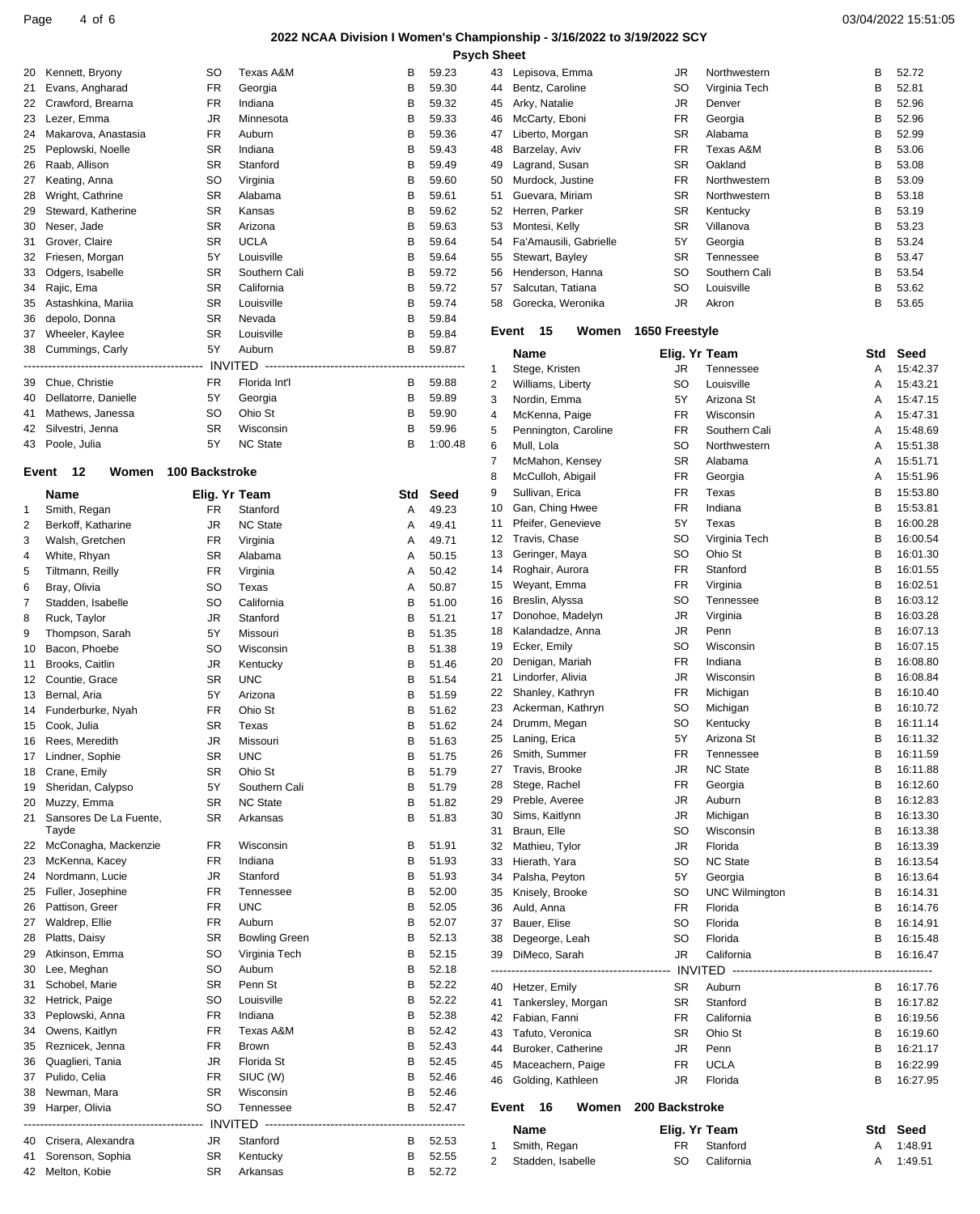Page  $4$  of  $6$ 

# 2022 NCAA Division I Women's Championship - 3/16/2022 to 3/19/2022 SCY

|    |                      |                       |                 |     |         | Psych S        |
|----|----------------------|-----------------------|-----------------|-----|---------|----------------|
| 20 | Kennett, Bryony      | <b>SO</b>             | Texas A&M       | В   | 59.23   | 4:             |
| 21 | Evans, Angharad      | <b>FR</b>             | Georgia         | В   | 59.30   | 4 <sub>1</sub> |
| 22 | Crawford, Brearna    | <b>FR</b>             | Indiana         | В   | 59.32   | 4 <sup>1</sup> |
| 23 | Lezer, Emma          | JR.                   | Minnesota       | B   | 59.33   | 4(             |
| 24 | Makarova, Anastasia  | <b>FR</b>             | Auburn          | В   | 59.36   | $\overline{4}$ |
| 25 | Peplowski, Noelle    | <b>SR</b>             | Indiana         | B   | 59.43   | 4i             |
| 26 | Raab, Allison        | <b>SR</b>             | Stanford        | B   | 59.49   | 4 <sup>1</sup> |
| 27 | Keating, Anna        | SO                    | Virginia        | B   | 59.60   | 5 <sub>0</sub> |
| 28 | Wright, Cathrine     | <b>SR</b>             | Alabama         | В   | 59.61   | 5              |
| 29 | Steward, Katherine   | <b>SR</b>             | Kansas          | B   | 59.62   | 5.             |
| 30 | Neser, Jade          | <b>SR</b>             | Arizona         | В   | 59.63   | 5              |
| 31 | Grover, Claire       | <b>SR</b>             | <b>UCLA</b>     | B   | 59.64   | 5              |
| 32 | Friesen, Morgan      | 5Y                    | Louisville      | В   | 59.64   | 5              |
| 33 | Odgers, Isabelle     | <b>SR</b>             | Southern Cali   | B   | 59.72   | 5 <sub>0</sub> |
| 34 | Rajic, Ema           | <b>SR</b>             | California      | В   | 59.72   | 5              |
| 35 | Astashkina, Mariia   | <b>SR</b>             | Louisville      | В   | 59.74   | 5 <sub>i</sub> |
| 36 | depolo, Donna        | <b>SR</b>             | Nevada          | в   | 59.84   |                |
| 37 | Wheeler, Kaylee      | <b>SR</b>             | Louisville      | B   | 59.84   | Е              |
|    | 38 Cummings, Carly   | 5Y                    | Auburn          | B   | 59.87   |                |
|    |                      |                       |                 |     |         | $\mathbf{1}$   |
| 39 | Chue, Christie       | <b>FR</b>             | Florida Int'l   | B   | 59.88   | 2              |
| 40 | Dellatorre, Danielle | 5Y                    | Georgia         | В   | 59.89   | 3              |
| 41 | Mathews, Janessa     | SO                    | Ohio St         | B   | 59.90   | $\overline{4}$ |
| 42 | Silvestri, Jenna     | <b>SR</b>             | Wisconsin       | B   | 59.96   | 5              |
| 43 | Poole, Julia         | 5Y                    | <b>NC State</b> | В   | 1:00.48 | 6              |
|    |                      |                       |                 |     |         | $\overline{7}$ |
|    | Event<br>12<br>Women | <b>100 Backstroke</b> |                 |     |         | 8              |
|    | <b>Name</b>          | Elig. Yr Team         |                 | Std | Seed    | 9              |
| 1  | Smith, Regan         | FR.                   | Stanford        | A   | 49.23   | 1(             |
| 2  | Berkoff, Katharine   | JR                    | <b>NC State</b> | A   | 49.41   | $1^{\circ}$    |
| 3  | Walsh, Gretchen      | <b>FR</b>             | Virginia        | A   | 49.71   | 1 <sup>1</sup> |
| 4  | White, Rhyan         | <b>SR</b>             | Alabama         | A   | 50.15   | 1:             |
| 5  | Tiltmann, Reilly     | <b>FR</b>             | Virginia        | A   | 50.42   | 1.             |
| G  | Rray Olivia          | SO.                   | Tavee           | Δ   | 50.87   | 1!             |

| ے  | DUNUH, NATIAHIU                 | u۱        | ouale                | $\sqrt{ }$ | 49.4 I |
|----|---------------------------------|-----------|----------------------|------------|--------|
| 3  | Walsh, Gretchen                 | <b>FR</b> | Virginia             | Α          | 49.71  |
| 4  | White, Rhyan                    | SR        | Alabama              | Α          | 50.15  |
| 5  | Tiltmann, Reilly                | <b>FR</b> | Virginia             | A          | 50.42  |
| 6  | Bray, Olivia                    | SO        | Texas                | A          | 50.87  |
| 7  | Stadden, Isabelle               | SO        | California           | В          | 51.00  |
| 8  | Ruck, Taylor                    | JR        | Stanford             | В          | 51.21  |
| 9  | Thompson, Sarah                 | 5Y        | Missouri             | В          | 51.35  |
| 10 | Bacon, Phoebe                   | SO        | Wisconsin            | B          | 51.38  |
| 11 | Brooks, Caitlin                 | JR        | Kentucky             | В          | 51.46  |
| 12 | Countie, Grace                  | <b>SR</b> | <b>UNC</b>           | B          | 51.54  |
| 13 | Bernal, Aria                    | 5Υ        | Arizona              | В          | 51.59  |
| 14 | Funderburke, Nyah               | <b>FR</b> | Ohio St              | B          | 51.62  |
| 15 | Cook, Julia                     | SR        | Texas                | В          | 51.62  |
| 16 | Rees, Meredith                  | JR        | Missouri             | В          | 51.63  |
| 17 | Lindner, Sophie                 | SR        | <b>UNC</b>           | B          | 51.75  |
| 18 | Crane, Emily                    | SR        | Ohio St              | В          | 51.79  |
| 19 | Sheridan, Calypso               | 5Y        | Southern Cali        | в          | 51.79  |
| 20 | Muzzy, Emma                     | SR        | <b>NC State</b>      | В          | 51.82  |
| 21 | Sansores De La Fuente,<br>Tayde | SR        | Arkansas             | в          | 51.83  |
| 22 | McConagha, Mackenzie            | FR        | Wisconsin            | в          | 51.91  |
| 23 | McKenna, Kacey                  | <b>FR</b> | Indiana              | В          | 51.93  |
| 24 | Nordmann, Lucie                 | JR        | Stanford             | в          | 51.93  |
| 25 | Fuller, Josephine               | <b>FR</b> | Tennessee            | B          | 52.00  |
| 26 | Pattison, Greer                 | FR        | <b>UNC</b>           | В          | 52.05  |
| 27 | Waldrep, Ellie                  | <b>FR</b> | Auburn               | В          | 52.07  |
| 28 | Platts, Daisy                   | SR        | <b>Bowling Green</b> | В          | 52.13  |
| 29 | Atkinson, Emma                  | SO        | Virginia Tech        | в          | 52.15  |
| 30 | Lee, Meghan                     | SO        | Auburn               | В          | 52.18  |
| 31 | Schobel, Marie                  | SR        | Penn St              | в          | 52.22  |
| 32 | Hetrick, Paige                  | SO        | Louisville           | B          | 52.22  |
| 33 | Peplowski, Anna                 | FR        | Indiana              | В          | 52.38  |
| 34 | Owens, Kaitlyn                  | <b>FR</b> | Texas A&M            | В          | 52.42  |
| 35 | Reznicek, Jenna                 | <b>FR</b> | Brown                | В          | 52.43  |
| 36 | Quaglieri, Tania                | JR        | Florida St           | В          | 52.45  |
| 37 | Pulido, Celia                   | <b>FR</b> | SIUC (W)             | В          | 52.46  |
| 38 | Newman, Mara                    | SR        | Wisconsin            | B          | 52.46  |
| 39 | Harper, Olivia                  | SO        | Tennessee            | B          | 52.47  |
|    |                                 |           |                      |            |        |
| 40 | Crisera, Alexandra              | JR        | Stanford             | В          | 52.53  |
| 41 | Sorenson, Sophia                | SR        | Kentucky             | в          | 52.55  |
| 42 | Melton, Kobie                   | SR        | Arkansas             | В          | 52.72  |

| 2            | Stadden, Isabelle                      | SO              | California                   | A      | 1:49.51              |
|--------------|----------------------------------------|-----------------|------------------------------|--------|----------------------|
| 1            | Smith, Regan                           | <b>FR</b>       | Stanford                     | Α      | 1:48.91              |
|              | Name                                   | Elig. Yr Team   |                              | Std    | Seed                 |
|              | Event<br>16<br>Women                   | 200 Backstroke  |                              |        |                      |
| 46           | Golding, Kathleen                      | JR              | Florida                      | В      | 16:27.95             |
| 45           | Maceachern, Paige                      | <b>FR</b>       | <b>UCLA</b>                  | В      | 16:22.99             |
| 43<br>44     | Tafuto, Veronica<br>Buroker, Catherine | SR<br>JR        | Ohio St<br>Penn              | В<br>В | 16:19.60<br>16:21.17 |
|              | 42 Fabian, Fanni                       | <b>FR</b>       | California                   | В      | 16:19.56             |
| 41           | Tankersley, Morgan                     | SR              | Stanford                     | В      | 16:17.82             |
| 40           | Hetzer, Emily                          | SR              | Auburn                       | В      | 16:17.76             |
|              |                                        |                 |                              |        |                      |
| 38<br>39     | Degeorge, Leah<br>DiMeco, Sarah        | SO<br>JR        | California                   | в<br>В | 16:15.48<br>16:16.47 |
| 37           | Bauer, Elise                           | SO              | Florida<br>Florida           | в      | 16:14.91             |
| 36           | Auld, Anna                             | <b>FR</b>       | Florida                      | в      | 16:14.76             |
| 35           | Knisely, Brooke                        | SO              | <b>UNC Wilmington</b>        | В      | 16:14.31             |
| 34           | Palsha, Peyton                         | 5Υ              | Georgia                      | В      | 16:13.64             |
| 32<br>33     | Mathieu, Tylor<br>Hierath, Yara        | JR<br>SO        | Florida<br><b>NC State</b>   | В<br>В | 16:13.39<br>16:13.54 |
| 31           | Braun, Elle                            | SO              | Wisconsin                    | В      | 16:13.38             |
| 30           | Sims, Kaitlynn                         | JR              | Michigan                     | В      | 16:13.30             |
| 29           | Preble, Averee                         | JR              | Auburn                       | в      | 16:12.83             |
| 28           | Stege, Rachel                          | <b>FR</b>       | Georgia                      | в      | 16:12.60             |
| 26<br>27     | Smith, Summer<br>Travis, Brooke        | FR<br>JR        | Tennessee<br><b>NC State</b> | В<br>в | 16:11.59<br>16:11.88 |
| 25           | Laning, Erica                          | 5Y              | Arizona St                   | В      | 16:11.32             |
| 24           | Drumm, Megan                           | SO              | Kentucky                     | В      | 16:11.14             |
| 23           | Ackerman, Kathryn                      | SO              | Michigan                     | В      | 16:10.72             |
| 22           | Shanley, Kathryn                       | <b>FR</b>       | Michigan                     | В      | 16:10.40             |
| 20<br>21     | Denigan, Mariah<br>Lindorfer, Alivia   | <b>FR</b><br>JR | Indiana<br>Wisconsin         | В<br>В | 16:08.80<br>16:08.84 |
| 19           | Ecker, Emily                           | SO              | Wisconsin                    | в      | 16:07.15             |
| 18           | Kalandadze, Anna                       | JR              | Penn                         | в      | 16:07.13             |
| 17           | Donohoe, Madelyn                       | JR              | Virginia                     | В      | 16:03.28             |
| 16           | Breslin, Alyssa                        | SO              | Tennessee                    | в      | 16:03.12             |
| 15           | Roghair, Aurora<br>Weyant, Emma        | <b>FR</b>       | Virginia                     | В      | 16:01.55<br>16:02.51 |
| 13<br>14     | Geringer, Maya                         | SO<br><b>FR</b> | Ohio St<br>Stanford          | В<br>в | 16:01.30             |
| 12           | Travis, Chase                          | SO              | Virginia Tech                | В      | 16:00.54             |
| 11           | Pfeifer, Genevieve                     | 5Y              | Texas                        | В      | 16:00.28             |
| 10           | Gan, Ching Hwee                        | <b>FR</b>       | Indiana                      | В      | 15:53.81             |
| 8<br>9       | McCulloh, Abigail<br>Sullivan, Erica   | <b>FR</b>       | Georgia<br>Texas             | Α<br>В | 15:51.96<br>15:53.80 |
| 7            | McMahon, Kensey                        | SR<br><b>FR</b> | Alabama                      | A      | 15:51.71             |
| 6            | Mull, Lola                             | SO              | Northwestern                 | Α      | 15:51.38             |
| 5            | Pennington, Caroline                   | <b>FR</b>       | Southern Cali                | Α      | 15:48.69             |
| 4            | McKenna, Paige                         | <b>FR</b>       | Wisconsin                    | A      | 15:47.31             |
| 2<br>3       | Williams, Liberty<br>Nordin, Emma      | SO<br>5Υ        | Louisville<br>Arizona St     | A<br>A | 15:43.21<br>15:47.15 |
| $\mathbf{1}$ | Stege, Kristen                         | JR              | Tennessee                    | A      | 15:42.37             |
|              | <b>Name</b>                            | Elig. Yr Team   |                              | Std    | Seed                 |
|              | Event<br>15<br>Women                   | 1650 Freestyle  |                              |        |                      |
| 58           | Gorecka, Weronika                      | JR              | Akron                        | в      | 53.65                |
| 57           | Salcutan, Tatiana                      | SO              | Louisville                   | В      | 53.62                |
| 56           | Stewart, Bayley<br>Henderson, Hanna    | SO              | Southern Cali                | В      | 53.54                |
| 54<br>55     | Fa'Amausili, Gabrielle                 | 5Y<br>SR        | Georgia<br>Tennessee         | В<br>В | 53.24<br>53.47       |
| 53           | Montesi, Kelly                         | SR              | Villanova                    | В      | 53.23                |
| 52           | Herren, Parker                         | SR              | Kentucky                     | В      | 53.19                |
| 51           | Guevara, Miriam                        | SR              | Northwestern                 | в      | 53.18                |
| 49<br>50     | Lagrand, Susan<br>Murdock, Justine     | SR<br>FR        | Oakland<br>Northwestern      | В<br>в | 53.08<br>53.09       |
| 48           | Barzelay, Aviv                         | <b>FR</b>       | Texas A&M                    | в      | 53.06                |
| 47           | Liberto, Morgan                        | SR              | Alabama                      | В      | 52.99                |
| 46           | McCarty, Eboni                         | <b>FR</b>       | Georgia                      | В      | 52.96                |
| 44<br>45     | Bentz, Caroline<br>Arky, Natalie       | SO<br>JR        | Virginia Tech<br>Denver      | В<br>В | 52.81<br>52.96       |
| 43           | Lepisova, Emma                         | JR              | Northwestern                 | В      | 52.72                |
|              |                                        |                 |                              |        |                      |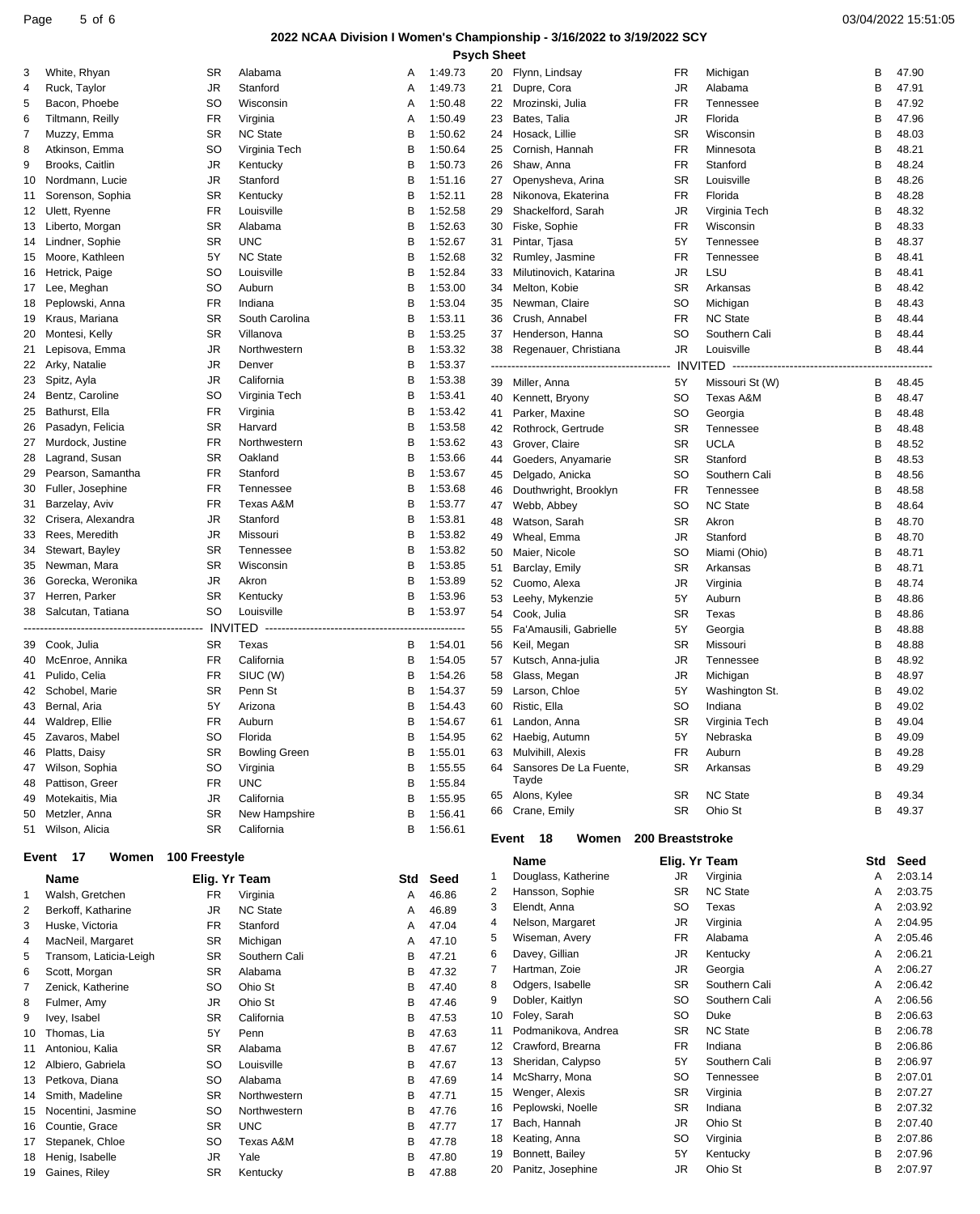#### Page 5 of 6 03/04/2022 15:51:05

#### **2022 NCAA Division I Women's Championship - 3/16/2022 to 3/19/2022 SCY Psych Sheet**

| 3              |                        |                     |                      |     |         |    |                        |                  |                                          |     |         |
|----------------|------------------------|---------------------|----------------------|-----|---------|----|------------------------|------------------|------------------------------------------|-----|---------|
|                | White, Rhyan           | SR                  | Alabama              | Α   | 1:49.73 | 20 | Flynn, Lindsay         | FR               | Michigan                                 | В   | 47.90   |
| 4              | Ruck, Taylor           | JR                  | Stanford             | Α   | 1:49.73 | 21 | Dupre, Cora            | JR               | Alabama                                  | В   | 47.91   |
| 5              | Bacon, Phoebe          | <b>SO</b>           | Wisconsin            | Α   | 1:50.48 | 22 | Mrozinski, Julia       | <b>FR</b>        | Tennessee                                | В   | 47.92   |
| 6              | Tiltmann, Reilly       | FR                  | Virginia             | Α   | 1:50.49 | 23 | Bates, Talia           | <b>JR</b>        | Florida                                  | В   | 47.96   |
|                |                        |                     |                      |     |         |    |                        |                  |                                          |     |         |
| 7              | Muzzy, Emma            | <b>SR</b>           | <b>NC State</b>      | В   | 1:50.62 | 24 | Hosack, Lillie         | <b>SR</b>        | Wisconsin                                | В   | 48.03   |
| 8              | Atkinson, Emma         | <b>SO</b>           | Virginia Tech        | В   | 1:50.64 | 25 | Cornish, Hannah        | <b>FR</b>        | Minnesota                                | В   | 48.21   |
| 9              | Brooks, Caitlin        | JR                  | Kentucky             | в   | 1:50.73 | 26 | Shaw, Anna             | <b>FR</b>        | Stanford                                 | В   | 48.24   |
| 10             | Nordmann, Lucie        | <b>JR</b>           | Stanford             | В   | 1:51.16 | 27 | Openysheva, Arina      | <b>SR</b>        | Louisville                               | В   | 48.26   |
|                |                        |                     |                      |     |         |    |                        |                  |                                          |     |         |
| 11             | Sorenson, Sophia       | <b>SR</b>           | Kentucky             | в   | 1:52.11 | 28 | Nikonova, Ekaterina    | <b>FR</b>        | Florida                                  | В   | 48.28   |
| 12             | Ulett, Ryenne          | FR                  | Louisville           | в   | 1:52.58 | 29 | Shackelford, Sarah     | <b>JR</b>        | Virginia Tech                            | В   | 48.32   |
| 13             | Liberto, Morgan        | <b>SR</b>           | Alabama              | в   | 1:52.63 | 30 | Fiske, Sophie          | FR               | Wisconsin                                | В   | 48.33   |
|                |                        |                     |                      |     |         |    |                        |                  |                                          |     |         |
| 14             | Lindner, Sophie        | <b>SR</b>           | <b>UNC</b>           | B   | 1:52.67 | 31 | Pintar, Tjasa          | 5Y               | Tennessee                                | В   | 48.37   |
| 15             | Moore, Kathleen        | 5Y                  | <b>NC State</b>      | в   | 1:52.68 | 32 | Rumley, Jasmine        | <b>FR</b>        | Tennessee                                | В   | 48.41   |
| 16             | Hetrick, Paige         | <b>SO</b>           | Louisville           | в   | 1:52.84 | 33 | Milutinovich, Katarina | JR               | LSU                                      | В   | 48.41   |
| 17             | Lee, Meghan            | <b>SO</b>           | Auburn               | в   | 1:53.00 | 34 | Melton, Kobie          | <b>SR</b>        | Arkansas                                 | В   | 48.42   |
|                |                        |                     |                      |     |         |    |                        |                  |                                          |     |         |
| 18             | Peplowski, Anna        | <b>FR</b>           | Indiana              | в   | 1:53.04 | 35 | Newman, Claire         | <b>SO</b>        | Michigan                                 | B   | 48.43   |
| 19             | Kraus, Mariana         | <b>SR</b>           | South Carolina       | в   | 1:53.11 | 36 | Crush, Annabel         | <b>FR</b>        | <b>NC State</b>                          | В   | 48.44   |
| 20             | Montesi, Kelly         | <b>SR</b>           | Villanova            | в   | 1:53.25 | 37 | Henderson, Hanna       | <b>SO</b>        | Southern Cali                            | В   | 48.44   |
|                | Lepisova, Emma         | JR                  | Northwestern         | в   | 1:53.32 | 38 | Regenauer, Christiana  | <b>JR</b>        | Louisville                               | в   | 48.44   |
| 21             |                        |                     |                      |     |         |    |                        |                  |                                          |     |         |
| 22             | Arky, Natalie          | JR                  | Denver               | в   | 1:53.37 |    |                        |                  | INVITED -------------------------------- |     |         |
| 23             | Spitz, Ayla            | JR                  | California           | В   | 1:53.38 | 39 | Miller, Anna           | 5Y               | Missouri St (W)                          | В   | 48.45   |
| 24             | Bentz, Caroline        | SO                  | Virginia Tech        | В   | 1:53.41 | 40 | Kennett, Bryony        | <b>SO</b>        | Texas A&M                                | В   | 48.47   |
| 25             | Bathurst, Ella         | FR                  |                      | в   | 1:53.42 |    |                        |                  |                                          |     |         |
|                |                        |                     | Virginia             |     |         | 41 | Parker, Maxine         | <b>SO</b>        | Georgia                                  | В   | 48.48   |
| 26             | Pasadyn, Felicia       | <b>SR</b>           | Harvard              | В   | 1:53.58 | 42 | Rothrock, Gertrude     | <b>SR</b>        | Tennessee                                | В   | 48.48   |
| 27             | Murdock, Justine       | <b>FR</b>           | Northwestern         | В   | 1:53.62 | 43 | Grover, Claire         | <b>SR</b>        | <b>UCLA</b>                              | В   | 48.52   |
| 28             | Lagrand, Susan         | <b>SR</b>           | Oakland              | в   | 1:53.66 |    |                        |                  |                                          |     |         |
|                |                        |                     |                      |     |         | 44 | Goeders, Anyamarie     | <b>SR</b>        | Stanford                                 | В   | 48.53   |
| 29             | Pearson, Samantha      | FR                  | Stanford             | в   | 1:53.67 | 45 | Delgado, Anicka        | <b>SO</b>        | Southern Cali                            | В   | 48.56   |
| 30             | Fuller, Josephine      | FR                  | Tennessee            | В   | 1:53.68 | 46 | Douthwright, Brooklyn  | <b>FR</b>        | Tennessee                                | В   | 48.58   |
| 31             | Barzelay, Aviv         | FR                  | Texas A&M            | в   | 1:53.77 | 47 | Webb, Abbey            | <b>SO</b>        | <b>NC State</b>                          | B   | 48.64   |
| 32             | Crisera, Alexandra     | JR                  | Stanford             | в   | 1:53.81 |    |                        |                  |                                          |     |         |
|                |                        |                     |                      |     |         | 48 | Watson, Sarah          | <b>SR</b>        | Akron                                    | В   | 48.70   |
| 33             | Rees, Meredith         | JR                  | Missouri             | В   | 1:53.82 | 49 | Wheal, Emma            | <b>JR</b>        | Stanford                                 | В   | 48.70   |
| 34             | Stewart, Bayley        | <b>SR</b>           | Tennessee            | B   | 1:53.82 | 50 | Maier, Nicole          | <sub>SO</sub>    | Miami (Ohio)                             | B   | 48.71   |
| 35             | Newman, Mara           | <b>SR</b>           | Wisconsin            | в   | 1:53.85 | 51 | Barclay, Emily         | <b>SR</b>        | Arkansas                                 | В   | 48.71   |
|                |                        |                     |                      |     |         |    |                        |                  |                                          |     |         |
| 36             | Gorecka, Weronika      | JR                  | Akron                | в   | 1:53.89 | 52 | Cuomo, Alexa           | <b>JR</b>        | Virginia                                 | В   | 48.74   |
| 37             | Herren, Parker         | <b>SR</b>           | Kentucky             | в   | 1:53.96 | 53 | Leehy, Mykenzie        | 5Y               | Auburn                                   | В   | 48.86   |
| 38             | Salcutan, Tatiana      | SO                  | Louisville           | В   | 1:53.97 | 54 | Cook, Julia            | <b>SR</b>        | Texas                                    | В   | 48.86   |
|                |                        |                     |                      |     |         |    |                        |                  |                                          |     |         |
|                |                        |                     |                      |     |         | 55 | Fa'Amausili, Gabrielle | 5Y               | Georgia                                  | В   | 48.88   |
| 39             | Cook, Julia            | SR.                 | Texas                | В   | 1:54.01 | 56 | Keil, Megan            | <b>SR</b>        | Missouri                                 | В   | 48.88   |
| 40             | McEnroe, Annika        | <b>FR</b>           | California           | В   | 1:54.05 | 57 | Kutsch, Anna-julia     | <b>JR</b>        | Tennessee                                | В   | 48.92   |
| 41             | Pulido, Celia          | <b>FR</b>           | SIUC (W)             | в   | 1:54.26 | 58 | Glass, Megan           | <b>JR</b>        | Michigan                                 | В   | 48.97   |
|                |                        |                     |                      |     |         |    |                        |                  |                                          |     |         |
|                |                        |                     |                      | в   | 1:54.37 | 59 | Larson, Chloe          | 5Y               | Washington St.                           | В   | 49.02   |
| 42             | Schobel, Marie         | <b>SR</b>           | Penn St              |     |         |    |                        |                  |                                          |     | 49.02   |
| 43             | Bernal, Aria           | 5Y                  | Arizona              | в   | 1:54.43 | 60 | Ristic, Ella           | <sub>SO</sub>    | Indiana                                  | В   |         |
|                |                        |                     |                      |     |         |    |                        |                  |                                          |     |         |
| 44             | Waldrep, Ellie         | <b>FR</b>           | Auburn               | в   | 1:54.67 | 61 | Landon, Anna           | <b>SR</b>        | Virginia Tech                            | В   | 49.04   |
|                | 45 Zavaros, Mabel      | SO                  | Florida              | В   | 1:54.95 | 62 | Haebig, Autumn         | 5Y               | Nebraska                                 | В   | 49.09   |
| 46             | Platts, Daisy          | SR                  | <b>Bowling Green</b> | В   | 1:55.01 | 63 | Mulvihill, Alexis      | FR               | Auburn                                   | В   | 49.28   |
| 47             | Wilson, Sophia         | <b>SO</b>           | Virginia             | B   | 1:55.55 | 64 | Sansores De La Fuente, | <b>SR</b>        | Arkansas                                 | В   | 49.29   |
|                |                        |                     |                      |     |         |    | Tayde                  |                  |                                          |     |         |
| 48             | Pattison, Greer        | FR                  | <b>UNC</b>           | В   | 1:55.84 |    |                        |                  |                                          |     |         |
| 49             | Motekaitis, Mia        | JR                  | California           | B   | 1:55.95 | 65 | Alons, Kylee           | <b>SR</b>        | <b>NC State</b>                          | В   | 49.34   |
| 50             | Metzler, Anna          | <b>SR</b>           | New Hampshire        | В   | 1:56.41 | 66 | Crane, Emily           | <b>SR</b>        | Ohio St                                  | В   | 49.37   |
| 51             | Wilson, Alicia         | SR                  | California           | В   | 1:56.61 |    |                        |                  |                                          |     |         |
|                |                        |                     |                      |     |         |    | 18<br>Event<br>Women   | 200 Breaststroke |                                          |     |         |
| Event          | - 17                   | Women 100 Freestyle |                      |     |         |    |                        |                  |                                          |     |         |
|                |                        |                     |                      |     |         |    | Name                   | Elig. Yr Team    |                                          | Std | Seed    |
|                | Name                   | Elig. Yr Team       |                      | Std | Seed    | 1  | Douglass, Katherine    | JR               | Virginia                                 | Α   | 2:03.14 |
|                |                        |                     |                      |     |         | 2  | Hansson, Sophie        | <b>SR</b>        | <b>NC State</b>                          | Α   | 2:03.75 |
| $\mathbf 1$    | Walsh, Gretchen        | FR.                 | Virginia             | Α   | 46.86   |    |                        |                  |                                          |     |         |
| $\overline{2}$ | Berkoff, Katharine     | JR                  | <b>NC State</b>      | Α   | 46.89   | 3  | Elendt, Anna           | <sub>SO</sub>    | Texas                                    | Α   | 2:03.92 |
| 3              | Huske, Victoria        | FR                  | Stanford             | Α   | 47.04   | 4  | Nelson, Margaret       | JR               | Virginia                                 | Α   | 2:04.95 |
|                |                        |                     |                      |     |         | 5  | Wiseman, Avery         | <b>FR</b>        | Alabama                                  | Α   | 2:05.46 |
| 4              | MacNeil, Margaret      | SR                  | Michigan             | Α   | 47.10   | 6  | Davey, Gillian         | JR               | Kentucky                                 | Α   | 2:06.21 |
| 5              | Transom, Laticia-Leigh | <b>SR</b>           | Southern Cali        | В   | 47.21   |    |                        |                  |                                          |     |         |
| 6              | Scott, Morgan          | <b>SR</b>           | Alabama              | в   | 47.32   | 7  | Hartman, Zoie          | <b>JR</b>        | Georgia                                  | Α   | 2:06.27 |
| 7              | Zenick, Katherine      | SO                  | Ohio St              | В   | 47.40   | 8  | Odgers, Isabelle       | <b>SR</b>        | Southern Cali                            | Α   | 2:06.42 |
|                |                        |                     |                      |     |         | 9  | Dobler, Kaitlyn        | <sub>SO</sub>    | Southern Cali                            | Α   | 2:06.56 |
| 8              | Fulmer, Amy            | JR                  | Ohio St              | B   | 47.46   |    |                        |                  |                                          |     |         |
| 9              | Ivey, Isabel           | SR                  | California           | в   | 47.53   | 10 | Foley, Sarah           | <b>SO</b>        | Duke                                     | В   | 2:06.63 |
| 10             | Thomas, Lia            | 5Y                  | Penn                 | в   | 47.63   | 11 | Podmanikova, Andrea    | <b>SR</b>        | <b>NC State</b>                          | В   | 2:06.78 |
| 11             | Antoniou, Kalia        | SR                  | Alabama              | В   | 47.67   | 12 | Crawford, Brearna      | <b>FR</b>        | Indiana                                  | В   | 2:06.86 |
|                |                        |                     |                      |     |         | 13 | Sheridan, Calypso      | 5Y               | Southern Cali                            | В   | 2:06.97 |
| 12             | Albiero, Gabriela      | SO                  | Louisville           | B   | 47.67   |    |                        |                  |                                          |     |         |
| 13             | Petkova, Diana         | SO                  | Alabama              | В   | 47.69   | 14 | McSharry, Mona         | <b>SO</b>        | Tennessee                                | В   | 2:07.01 |
| 14             | Smith, Madeline        | SR                  | Northwestern         | В   | 47.71   | 15 | Wenger, Alexis         | <b>SR</b>        | Virginia                                 | В   | 2:07.27 |
| 15             | Nocentini, Jasmine     | SO                  | Northwestern         | B   | 47.76   | 16 | Peplowski, Noelle      | <b>SR</b>        | Indiana                                  | В   | 2:07.32 |
|                |                        |                     |                      |     |         | 17 | Bach, Hannah           | <b>JR</b>        | Ohio St                                  | В   | 2:07.40 |
| 16             | Countie, Grace         | <b>SR</b>           | <b>UNC</b>           | в   | 47.77   |    |                        |                  |                                          |     |         |
| 17             | Stepanek, Chloe        | SO                  | Texas A&M            | в   | 47.78   | 18 | Keating, Anna          | <b>SO</b>        | Virginia                                 | В   | 2:07.86 |
| 18             | Henig, Isabelle        | JR                  | Yale                 | B   | 47.80   | 19 | Bonnett, Bailey        | 5Y               | Kentucky                                 | В   | 2:07.96 |
|                | 19 Gaines, Riley       | <b>SR</b>           | Kentucky             | в   | 47.88   | 20 | Panitz, Josephine      | JR               | Ohio St                                  | B   | 2:07.97 |